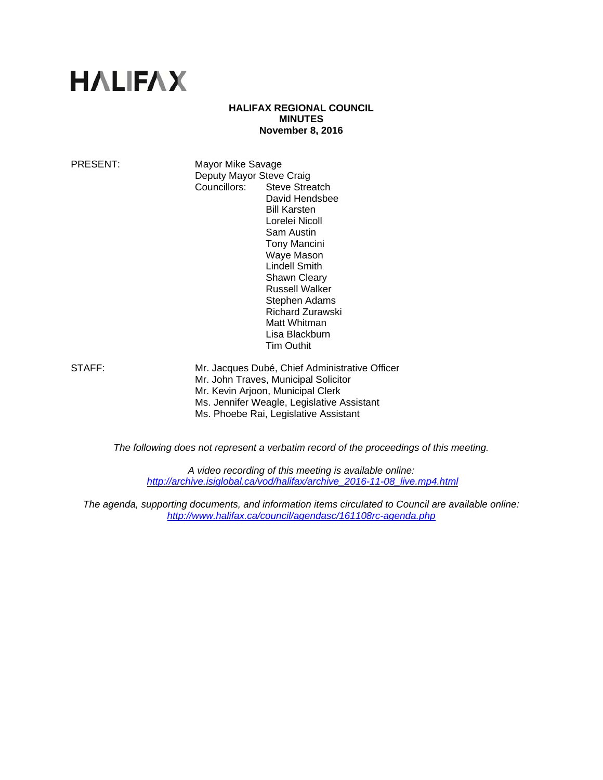# **HALIFAX**

## **HALIFAX REGIONAL COUNCIL MINUTES November 8, 2016**

PRESENT: Mayor Mike Savage Deputy Mayor Steve Craig Councillors: Steve Streatch David Hendsbee Bill Karsten Lorelei Nicoll Sam Austin Tony Mancini Waye Mason Lindell Smith Shawn Cleary Russell Walker Stephen Adams Richard Zurawski Matt Whitman Lisa Blackburn Tim Outhit

STAFF: Mr. Jacques Dubé, Chief Administrative Officer Mr. John Traves, Municipal Solicitor Mr. Kevin Arjoon, Municipal Clerk Ms. Jennifer Weagle, Legislative Assistant Ms. Phoebe Rai, Legislative Assistant

*The following does not represent a verbatim record of the proceedings of this meeting.* 

*A video recording of this meeting is available online: http://archive.isiglobal.ca/vod/halifax/archive\_2016-11-08\_live.mp4.html* 

*The agenda, supporting documents, and information items circulated to Council are available online: http://www.halifax.ca/council/agendasc/161108rc-agenda.php*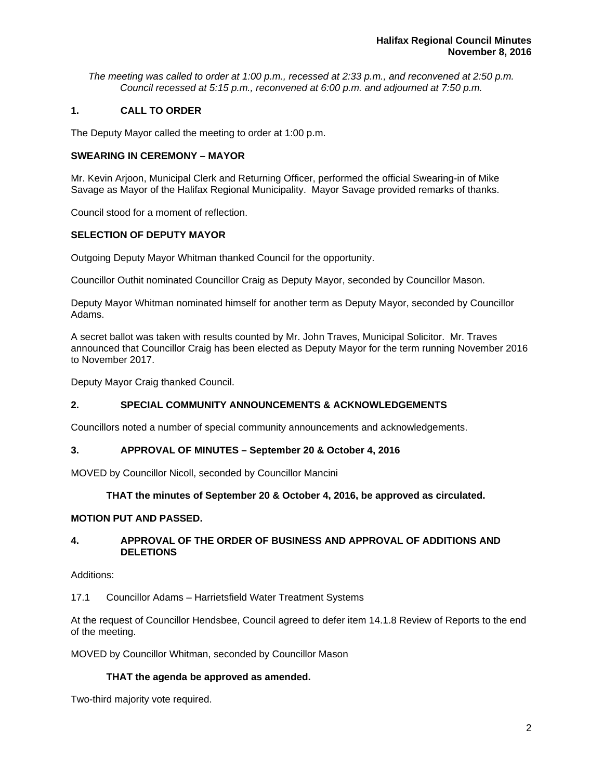*The meeting was called to order at 1:00 p.m., recessed at 2:33 p.m., and reconvened at 2:50 p.m. Council recessed at 5:15 p.m., reconvened at 6:00 p.m. and adjourned at 7:50 p.m.*

## **1. CALL TO ORDER**

The Deputy Mayor called the meeting to order at 1:00 p.m.

## **SWEARING IN CEREMONY – MAYOR**

Mr. Kevin Arjoon, Municipal Clerk and Returning Officer, performed the official Swearing-in of Mike Savage as Mayor of the Halifax Regional Municipality. Mayor Savage provided remarks of thanks.

Council stood for a moment of reflection.

## **SELECTION OF DEPUTY MAYOR**

Outgoing Deputy Mayor Whitman thanked Council for the opportunity.

Councillor Outhit nominated Councillor Craig as Deputy Mayor, seconded by Councillor Mason.

Deputy Mayor Whitman nominated himself for another term as Deputy Mayor, seconded by Councillor Adams.

A secret ballot was taken with results counted by Mr. John Traves, Municipal Solicitor. Mr. Traves announced that Councillor Craig has been elected as Deputy Mayor for the term running November 2016 to November 2017.

Deputy Mayor Craig thanked Council.

# **2. SPECIAL COMMUNITY ANNOUNCEMENTS & ACKNOWLEDGEMENTS**

Councillors noted a number of special community announcements and acknowledgements.

## **3. APPROVAL OF MINUTES – September 20 & October 4, 2016**

MOVED by Councillor Nicoll, seconded by Councillor Mancini

## **THAT the minutes of September 20 & October 4, 2016, be approved as circulated.**

## **MOTION PUT AND PASSED.**

## **4. APPROVAL OF THE ORDER OF BUSINESS AND APPROVAL OF ADDITIONS AND DELETIONS**

Additions:

17.1 Councillor Adams – Harrietsfield Water Treatment Systems

At the request of Councillor Hendsbee, Council agreed to defer item 14.1.8 Review of Reports to the end of the meeting.

MOVED by Councillor Whitman, seconded by Councillor Mason

# **THAT the agenda be approved as amended.**

Two-third majority vote required.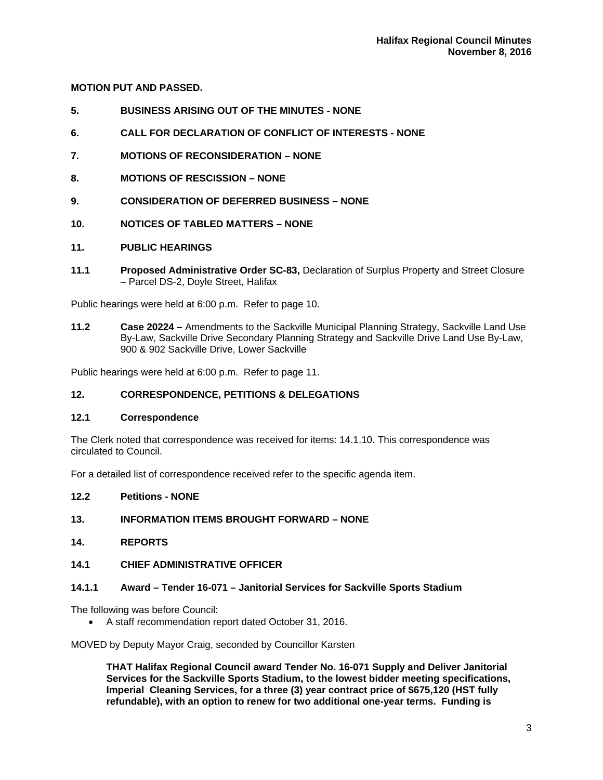# **MOTION PUT AND PASSED.**

- **5. BUSINESS ARISING OUT OF THE MINUTES NONE**
- **6. CALL FOR DECLARATION OF CONFLICT OF INTERESTS NONE**
- **7. MOTIONS OF RECONSIDERATION NONE**
- **8. MOTIONS OF RESCISSION NONE**
- **9. CONSIDERATION OF DEFERRED BUSINESS NONE**
- **10. NOTICES OF TABLED MATTERS NONE**

## **11. PUBLIC HEARINGS**

**11.1 Proposed Administrative Order SC-83,** Declaration of Surplus Property and Street Closure – Parcel DS-2, Doyle Street, Halifax

Public hearings were held at 6:00 p.m. Refer to page 10.

**11.2 Case 20224 –** Amendments to the Sackville Municipal Planning Strategy, Sackville Land Use By-Law, Sackville Drive Secondary Planning Strategy and Sackville Drive Land Use By-Law, 900 & 902 Sackville Drive, Lower Sackville

Public hearings were held at 6:00 p.m. Refer to page 11.

## **12. CORRESPONDENCE, PETITIONS & DELEGATIONS**

## **12.1 Correspondence**

The Clerk noted that correspondence was received for items: 14.1.10. This correspondence was circulated to Council.

For a detailed list of correspondence received refer to the specific agenda item.

## **12.2 Petitions - NONE**

## **13. INFORMATION ITEMS BROUGHT FORWARD – NONE**

## **14. REPORTS**

## **14.1 CHIEF ADMINISTRATIVE OFFICER**

## **14.1.1 Award – Tender 16-071 – Janitorial Services for Sackville Sports Stadium**

The following was before Council:

A staff recommendation report dated October 31, 2016.

MOVED by Deputy Mayor Craig, seconded by Councillor Karsten

**THAT Halifax Regional Council award Tender No. 16-071 Supply and Deliver Janitorial Services for the Sackville Sports Stadium, to the lowest bidder meeting specifications, Imperial Cleaning Services, for a three (3) year contract price of \$675,120 (HST fully refundable), with an option to renew for two additional one-year terms. Funding is**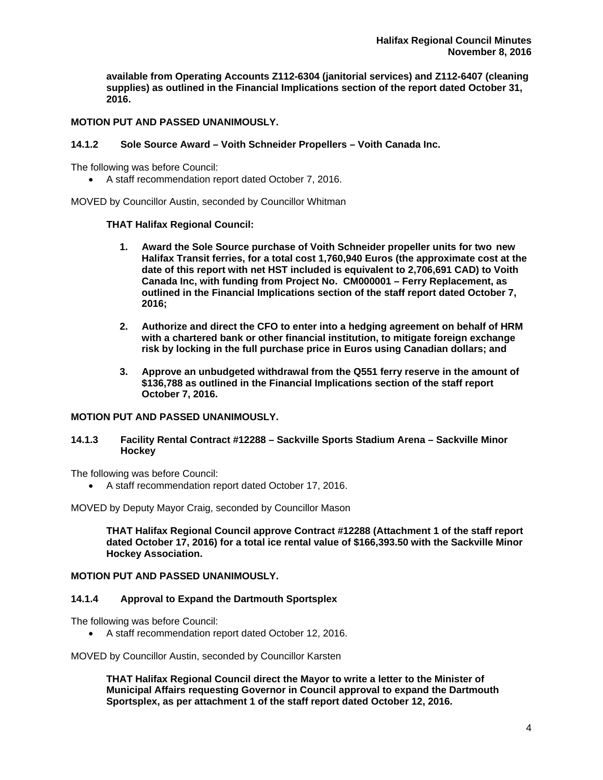**available from Operating Accounts Z112-6304 (janitorial services) and Z112-6407 (cleaning supplies) as outlined in the Financial Implications section of the report dated October 31, 2016.** 

## **MOTION PUT AND PASSED UNANIMOUSLY.**

## **14.1.2 Sole Source Award – Voith Schneider Propellers – Voith Canada Inc.**

The following was before Council:

A staff recommendation report dated October 7, 2016.

MOVED by Councillor Austin, seconded by Councillor Whitman

#### **THAT Halifax Regional Council:**

- **1. Award the Sole Source purchase of Voith Schneider propeller units for two new Halifax Transit ferries, for a total cost 1,760,940 Euros (the approximate cost at the date of this report with net HST included is equivalent to 2,706,691 CAD) to Voith Canada Inc, with funding from Project No. CM000001 – Ferry Replacement, as outlined in the Financial Implications section of the staff report dated October 7, 2016;**
- **2. Authorize and direct the CFO to enter into a hedging agreement on behalf of HRM with a chartered bank or other financial institution, to mitigate foreign exchange risk by locking in the full purchase price in Euros using Canadian dollars; and**
- **3. Approve an unbudgeted withdrawal from the Q551 ferry reserve in the amount of \$136,788 as outlined in the Financial Implications section of the staff report October 7, 2016.**

## **MOTION PUT AND PASSED UNANIMOUSLY.**

#### **14.1.3 Facility Rental Contract #12288 – Sackville Sports Stadium Arena – Sackville Minor Hockey**

The following was before Council:

A staff recommendation report dated October 17, 2016.

MOVED by Deputy Mayor Craig, seconded by Councillor Mason

**THAT Halifax Regional Council approve Contract #12288 (Attachment 1 of the staff report dated October 17, 2016) for a total ice rental value of \$166,393.50 with the Sackville Minor Hockey Association.** 

## **MOTION PUT AND PASSED UNANIMOUSLY.**

#### **14.1.4 Approval to Expand the Dartmouth Sportsplex**

The following was before Council:

A staff recommendation report dated October 12, 2016.

MOVED by Councillor Austin, seconded by Councillor Karsten

**THAT Halifax Regional Council direct the Mayor to write a letter to the Minister of Municipal Affairs requesting Governor in Council approval to expand the Dartmouth Sportsplex, as per attachment 1 of the staff report dated October 12, 2016.**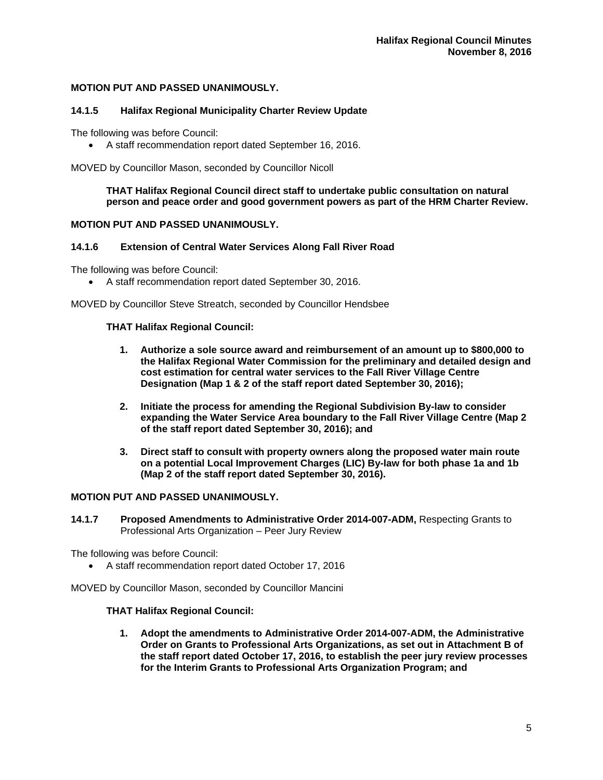## **MOTION PUT AND PASSED UNANIMOUSLY.**

## **14.1.5 Halifax Regional Municipality Charter Review Update**

The following was before Council:

A staff recommendation report dated September 16, 2016.

MOVED by Councillor Mason, seconded by Councillor Nicoll

## **THAT Halifax Regional Council direct staff to undertake public consultation on natural person and peace order and good government powers as part of the HRM Charter Review.**

## **MOTION PUT AND PASSED UNANIMOUSLY.**

## **14.1.6 Extension of Central Water Services Along Fall River Road**

The following was before Council:

A staff recommendation report dated September 30, 2016.

MOVED by Councillor Steve Streatch, seconded by Councillor Hendsbee

## **THAT Halifax Regional Council:**

- **1. Authorize a sole source award and reimbursement of an amount up to \$800,000 to the Halifax Regional Water Commission for the preliminary and detailed design and cost estimation for central water services to the Fall River Village Centre Designation (Map 1 & 2 of the staff report dated September 30, 2016);**
- **2. Initiate the process for amending the Regional Subdivision By-law to consider expanding the Water Service Area boundary to the Fall River Village Centre (Map 2 of the staff report dated September 30, 2016); and**
- **3. Direct staff to consult with property owners along the proposed water main route on a potential Local Improvement Charges (LIC) By-law for both phase 1a and 1b (Map 2 of the staff report dated September 30, 2016).**

## **MOTION PUT AND PASSED UNANIMOUSLY.**

**14.1.7 Proposed Amendments to Administrative Order 2014-007-ADM,** Respecting Grants to Professional Arts Organization – Peer Jury Review

The following was before Council:

A staff recommendation report dated October 17, 2016

MOVED by Councillor Mason, seconded by Councillor Mancini

## **THAT Halifax Regional Council:**

**1. Adopt the amendments to Administrative Order 2014-007-ADM, the Administrative Order on Grants to Professional Arts Organizations, as set out in Attachment B of the staff report dated October 17, 2016, to establish the peer jury review processes for the Interim Grants to Professional Arts Organization Program; and**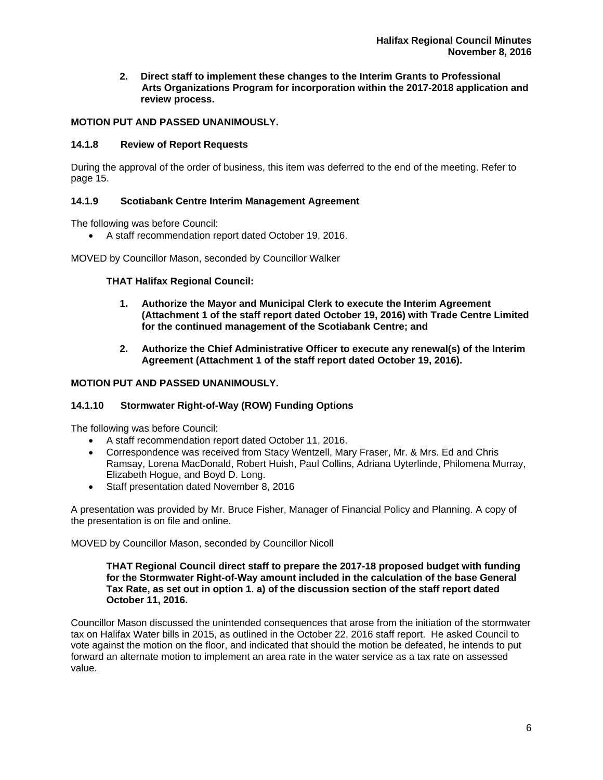**2. Direct staff to implement these changes to the Interim Grants to Professional Arts Organizations Program for incorporation within the 2017-2018 application and review process.** 

## **MOTION PUT AND PASSED UNANIMOUSLY.**

## **14.1.8 Review of Report Requests**

During the approval of the order of business, this item was deferred to the end of the meeting. Refer to page 15.

## **14.1.9 Scotiabank Centre Interim Management Agreement**

The following was before Council:

A staff recommendation report dated October 19, 2016.

MOVED by Councillor Mason, seconded by Councillor Walker

## **THAT Halifax Regional Council:**

- **1. Authorize the Mayor and Municipal Clerk to execute the Interim Agreement (Attachment 1 of the staff report dated October 19, 2016) with Trade Centre Limited for the continued management of the Scotiabank Centre; and**
- **2. Authorize the Chief Administrative Officer to execute any renewal(s) of the Interim Agreement (Attachment 1 of the staff report dated October 19, 2016).**

## **MOTION PUT AND PASSED UNANIMOUSLY.**

## **14.1.10 Stormwater Right-of-Way (ROW) Funding Options**

The following was before Council:

- A staff recommendation report dated October 11, 2016.
- Correspondence was received from Stacy Wentzell, Mary Fraser, Mr. & Mrs. Ed and Chris Ramsay, Lorena MacDonald, Robert Huish, Paul Collins, Adriana Uyterlinde, Philomena Murray, Elizabeth Hogue, and Boyd D. Long.
- Staff presentation dated November 8, 2016

A presentation was provided by Mr. Bruce Fisher, Manager of Financial Policy and Planning. A copy of the presentation is on file and online.

## MOVED by Councillor Mason, seconded by Councillor Nicoll

**THAT Regional Council direct staff to prepare the 2017-18 proposed budget with funding for the Stormwater Right-of-Way amount included in the calculation of the base General Tax Rate, as set out in option 1. a) of the discussion section of the staff report dated October 11, 2016.** 

Councillor Mason discussed the unintended consequences that arose from the initiation of the stormwater tax on Halifax Water bills in 2015, as outlined in the October 22, 2016 staff report. He asked Council to vote against the motion on the floor, and indicated that should the motion be defeated, he intends to put forward an alternate motion to implement an area rate in the water service as a tax rate on assessed value.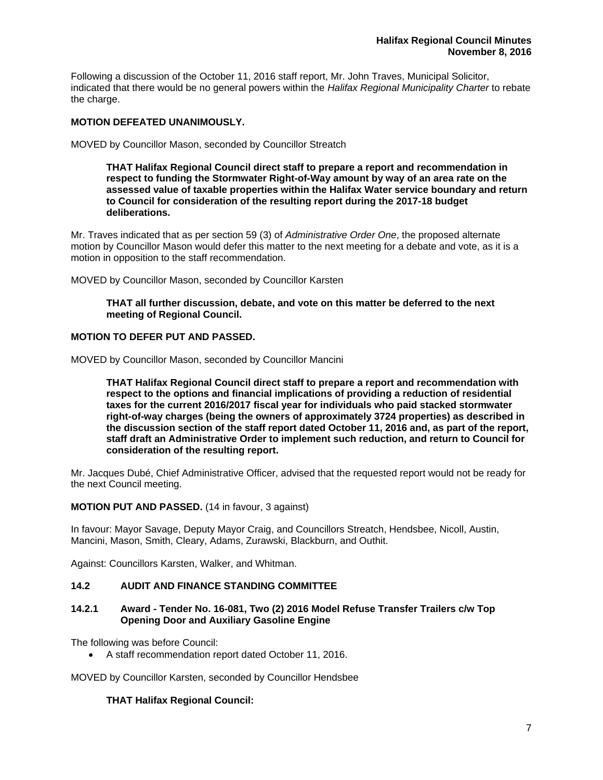Following a discussion of the October 11, 2016 staff report, Mr. John Traves, Municipal Solicitor, indicated that there would be no general powers within the *Halifax Regional Municipality Charter* to rebate the charge.

## **MOTION DEFEATED UNANIMOUSLY.**

MOVED by Councillor Mason, seconded by Councillor Streatch

**THAT Halifax Regional Council direct staff to prepare a report and recommendation in respect to funding the Stormwater Right-of-Way amount by way of an area rate on the assessed value of taxable properties within the Halifax Water service boundary and return to Council for consideration of the resulting report during the 2017-18 budget deliberations.** 

Mr. Traves indicated that as per section 59 (3) of *Administrative Order One*, the proposed alternate motion by Councillor Mason would defer this matter to the next meeting for a debate and vote, as it is a motion in opposition to the staff recommendation.

MOVED by Councillor Mason, seconded by Councillor Karsten

**THAT all further discussion, debate, and vote on this matter be deferred to the next meeting of Regional Council.** 

## **MOTION TO DEFER PUT AND PASSED.**

MOVED by Councillor Mason, seconded by Councillor Mancini

**THAT Halifax Regional Council direct staff to prepare a report and recommendation with respect to the options and financial implications of providing a reduction of residential taxes for the current 2016/2017 fiscal year for individuals who paid stacked stormwater right-of-way charges (being the owners of approximately 3724 properties) as described in the discussion section of the staff report dated October 11, 2016 and, as part of the report, staff draft an Administrative Order to implement such reduction, and return to Council for consideration of the resulting report.** 

Mr. Jacques Dubé, Chief Administrative Officer, advised that the requested report would not be ready for the next Council meeting.

**MOTION PUT AND PASSED.** (14 in favour, 3 against)

In favour: Mayor Savage, Deputy Mayor Craig, and Councillors Streatch, Hendsbee, Nicoll, Austin, Mancini, Mason, Smith, Cleary, Adams, Zurawski, Blackburn, and Outhit.

Against: Councillors Karsten, Walker, and Whitman.

## **14.2 AUDIT AND FINANCE STANDING COMMITTEE**

## **14.2.1 Award - Tender No. 16-081, Two (2) 2016 Model Refuse Transfer Trailers c/w Top Opening Door and Auxiliary Gasoline Engine**

The following was before Council:

A staff recommendation report dated October 11, 2016.

MOVED by Councillor Karsten, seconded by Councillor Hendsbee

## **THAT Halifax Regional Council:**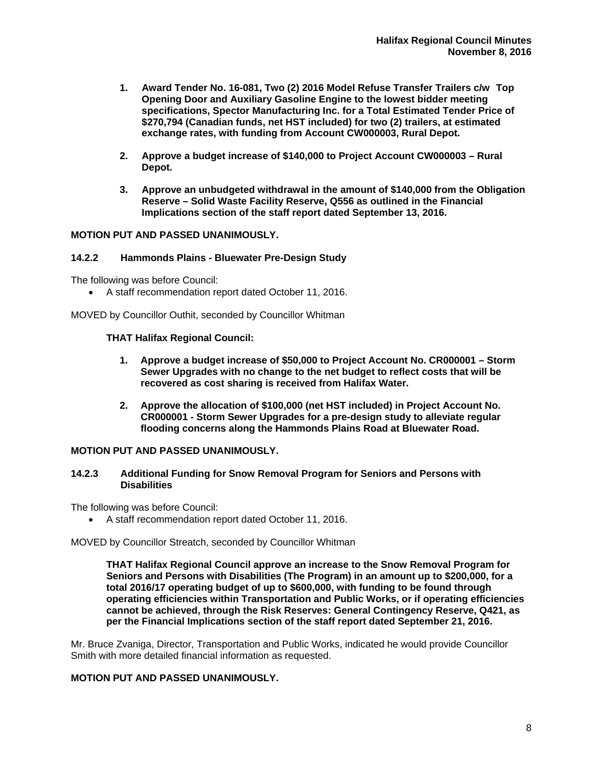- **1. Award Tender No. 16-081, Two (2) 2016 Model Refuse Transfer Trailers c/w Top Opening Door and Auxiliary Gasoline Engine to the lowest bidder meeting specifications, Spector Manufacturing Inc. for a Total Estimated Tender Price of \$270,794 (Canadian funds, net HST included) for two (2) trailers, at estimated exchange rates, with funding from Account CW000003, Rural Depot.**
- **2. Approve a budget increase of \$140,000 to Project Account CW000003 Rural Depot.**
- **3. Approve an unbudgeted withdrawal in the amount of \$140,000 from the Obligation Reserve – Solid Waste Facility Reserve, Q556 as outlined in the Financial Implications section of the staff report dated September 13, 2016.**

## **MOTION PUT AND PASSED UNANIMOUSLY.**

## **14.2.2 Hammonds Plains - Bluewater Pre-Design Study**

The following was before Council:

A staff recommendation report dated October 11, 2016.

MOVED by Councillor Outhit, seconded by Councillor Whitman

## **THAT Halifax Regional Council:**

- **1. Approve a budget increase of \$50,000 to Project Account No. CR000001 Storm Sewer Upgrades with no change to the net budget to reflect costs that will be recovered as cost sharing is received from Halifax Water.**
- **2. Approve the allocation of \$100,000 (net HST included) in Project Account No. CR000001 - Storm Sewer Upgrades for a pre-design study to alleviate regular flooding concerns along the Hammonds Plains Road at Bluewater Road.**

## **MOTION PUT AND PASSED UNANIMOUSLY.**

## **14.2.3 Additional Funding for Snow Removal Program for Seniors and Persons with Disabilities**

The following was before Council:

A staff recommendation report dated October 11, 2016.

MOVED by Councillor Streatch, seconded by Councillor Whitman

**THAT Halifax Regional Council approve an increase to the Snow Removal Program for Seniors and Persons with Disabilities (The Program) in an amount up to \$200,000, for a total 2016/17 operating budget of up to \$600,000, with funding to be found through operating efficiencies within Transportation and Public Works, or if operating efficiencies cannot be achieved, through the Risk Reserves: General Contingency Reserve, Q421, as per the Financial Implications section of the staff report dated September 21, 2016.** 

Mr. Bruce Zvaniga, Director, Transportation and Public Works, indicated he would provide Councillor Smith with more detailed financial information as requested.

## **MOTION PUT AND PASSED UNANIMOUSLY.**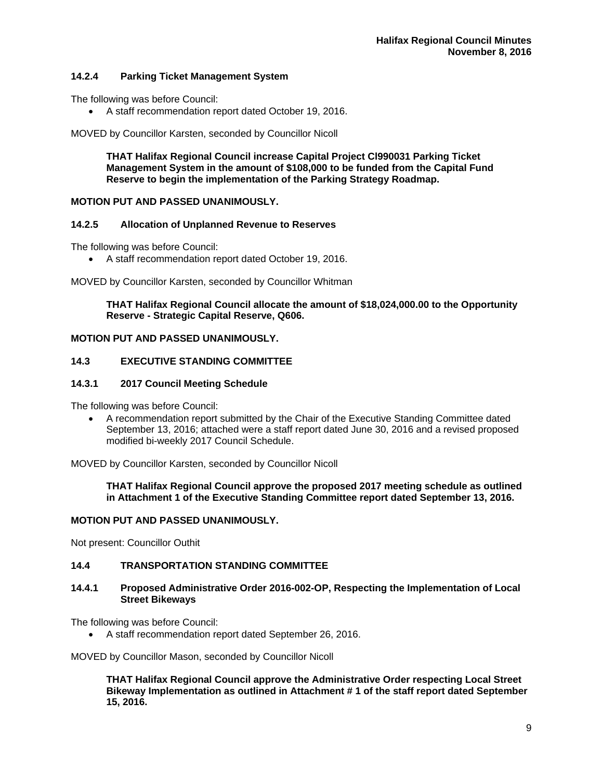# **14.2.4 Parking Ticket Management System**

The following was before Council:

A staff recommendation report dated October 19, 2016.

MOVED by Councillor Karsten, seconded by Councillor Nicoll

**THAT Halifax Regional Council increase Capital Project Cl990031 Parking Ticket Management System in the amount of \$108,000 to be funded from the Capital Fund Reserve to begin the implementation of the Parking Strategy Roadmap.** 

## **MOTION PUT AND PASSED UNANIMOUSLY.**

## **14.2.5 Allocation of Unplanned Revenue to Reserves**

The following was before Council:

A staff recommendation report dated October 19, 2016.

MOVED by Councillor Karsten, seconded by Councillor Whitman

**THAT Halifax Regional Council allocate the amount of \$18,024,000.00 to the Opportunity Reserve - Strategic Capital Reserve, Q606.** 

## **MOTION PUT AND PASSED UNANIMOUSLY.**

## **14.3 EXECUTIVE STANDING COMMITTEE**

## **14.3.1 2017 Council Meeting Schedule**

The following was before Council:

 A recommendation report submitted by the Chair of the Executive Standing Committee dated September 13, 2016; attached were a staff report dated June 30, 2016 and a revised proposed modified bi-weekly 2017 Council Schedule.

MOVED by Councillor Karsten, seconded by Councillor Nicoll

**THAT Halifax Regional Council approve the proposed 2017 meeting schedule as outlined in Attachment 1 of the Executive Standing Committee report dated September 13, 2016.** 

## **MOTION PUT AND PASSED UNANIMOUSLY.**

Not present: Councillor Outhit

## **14.4 TRANSPORTATION STANDING COMMITTEE**

## **14.4.1 Proposed Administrative Order 2016-002-OP, Respecting the Implementation of Local Street Bikeways**

The following was before Council:

A staff recommendation report dated September 26, 2016.

MOVED by Councillor Mason, seconded by Councillor Nicoll

**THAT Halifax Regional Council approve the Administrative Order respecting Local Street Bikeway Implementation as outlined in Attachment # 1 of the staff report dated September 15, 2016.**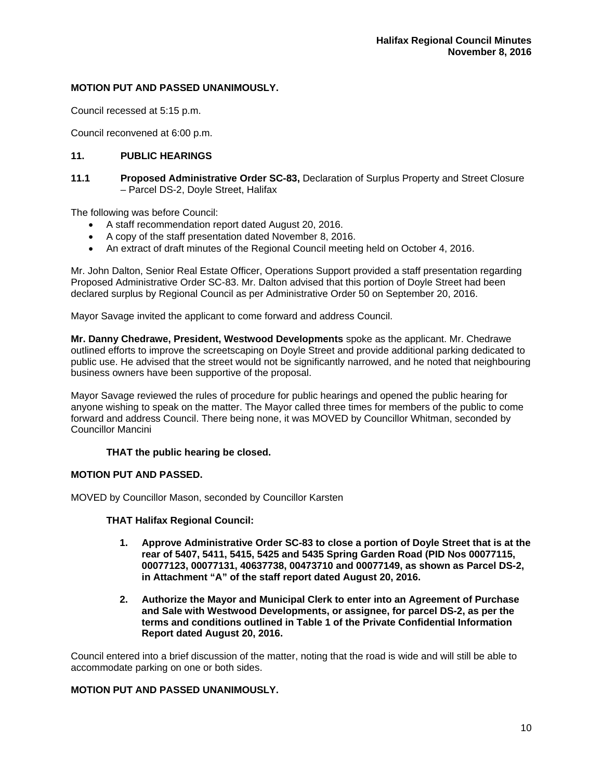## **MOTION PUT AND PASSED UNANIMOUSLY.**

Council recessed at 5:15 p.m.

Council reconvened at 6:00 p.m.

## **11. PUBLIC HEARINGS**

**11.1 Proposed Administrative Order SC-83,** Declaration of Surplus Property and Street Closure – Parcel DS-2, Doyle Street, Halifax

The following was before Council:

- A staff recommendation report dated August 20, 2016.
- A copy of the staff presentation dated November 8, 2016.
- An extract of draft minutes of the Regional Council meeting held on October 4, 2016.

Mr. John Dalton, Senior Real Estate Officer, Operations Support provided a staff presentation regarding Proposed Administrative Order SC-83. Mr. Dalton advised that this portion of Doyle Street had been declared surplus by Regional Council as per Administrative Order 50 on September 20, 2016.

Mayor Savage invited the applicant to come forward and address Council.

**Mr. Danny Chedrawe, President, Westwood Developments** spoke as the applicant. Mr. Chedrawe outlined efforts to improve the screetscaping on Doyle Street and provide additional parking dedicated to public use. He advised that the street would not be significantly narrowed, and he noted that neighbouring business owners have been supportive of the proposal.

Mayor Savage reviewed the rules of procedure for public hearings and opened the public hearing for anyone wishing to speak on the matter. The Mayor called three times for members of the public to come forward and address Council. There being none, it was MOVED by Councillor Whitman, seconded by Councillor Mancini

## **THAT the public hearing be closed.**

## **MOTION PUT AND PASSED.**

MOVED by Councillor Mason, seconded by Councillor Karsten

## **THAT Halifax Regional Council:**

- **1. Approve Administrative Order SC-83 to close a portion of Doyle Street that is at the rear of 5407, 5411, 5415, 5425 and 5435 Spring Garden Road (PID Nos 00077115, 00077123, 00077131, 40637738, 00473710 and 00077149, as shown as Parcel DS-2, in Attachment "A" of the staff report dated August 20, 2016.**
- **2. Authorize the Mayor and Municipal Clerk to enter into an Agreement of Purchase and Sale with Westwood Developments, or assignee, for parcel DS-2, as per the terms and conditions outlined in Table 1 of the Private Confidential Information Report dated August 20, 2016.**

Council entered into a brief discussion of the matter, noting that the road is wide and will still be able to accommodate parking on one or both sides.

## **MOTION PUT AND PASSED UNANIMOUSLY.**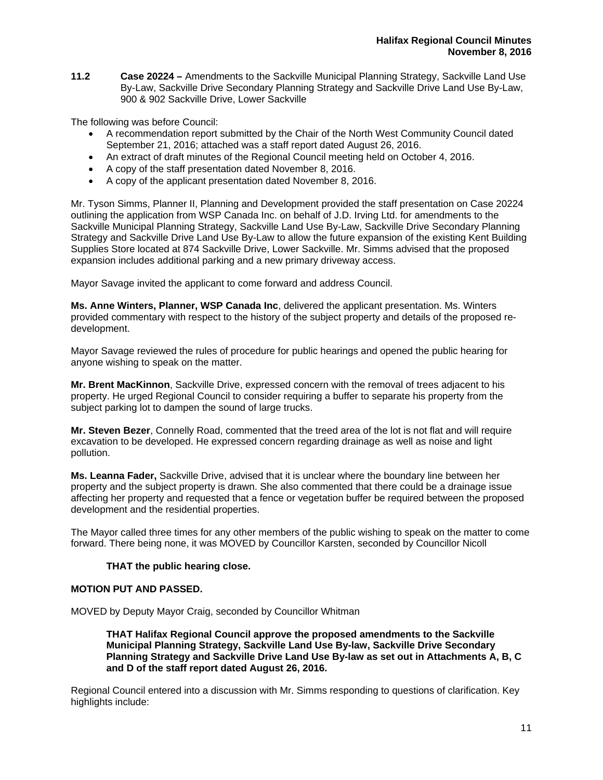**11.2 Case 20224 –** Amendments to the Sackville Municipal Planning Strategy, Sackville Land Use By-Law, Sackville Drive Secondary Planning Strategy and Sackville Drive Land Use By-Law, 900 & 902 Sackville Drive, Lower Sackville

The following was before Council:

- A recommendation report submitted by the Chair of the North West Community Council dated September 21, 2016; attached was a staff report dated August 26, 2016.
- An extract of draft minutes of the Regional Council meeting held on October 4, 2016.
- A copy of the staff presentation dated November 8, 2016.
- A copy of the applicant presentation dated November 8, 2016.

Mr. Tyson Simms, Planner II, Planning and Development provided the staff presentation on Case 20224 outlining the application from WSP Canada Inc. on behalf of J.D. Irving Ltd. for amendments to the Sackville Municipal Planning Strategy, Sackville Land Use By-Law, Sackville Drive Secondary Planning Strategy and Sackville Drive Land Use By-Law to allow the future expansion of the existing Kent Building Supplies Store located at 874 Sackville Drive, Lower Sackville. Mr. Simms advised that the proposed expansion includes additional parking and a new primary driveway access.

Mayor Savage invited the applicant to come forward and address Council.

**Ms. Anne Winters, Planner, WSP Canada Inc**, delivered the applicant presentation. Ms. Winters provided commentary with respect to the history of the subject property and details of the proposed redevelopment.

Mayor Savage reviewed the rules of procedure for public hearings and opened the public hearing for anyone wishing to speak on the matter.

**Mr. Brent MacKinnon**, Sackville Drive, expressed concern with the removal of trees adjacent to his property. He urged Regional Council to consider requiring a buffer to separate his property from the subject parking lot to dampen the sound of large trucks.

**Mr. Steven Bezer**, Connelly Road, commented that the treed area of the lot is not flat and will require excavation to be developed. He expressed concern regarding drainage as well as noise and light pollution.

**Ms. Leanna Fader,** Sackville Drive, advised that it is unclear where the boundary line between her property and the subject property is drawn. She also commented that there could be a drainage issue affecting her property and requested that a fence or vegetation buffer be required between the proposed development and the residential properties.

The Mayor called three times for any other members of the public wishing to speak on the matter to come forward. There being none, it was MOVED by Councillor Karsten, seconded by Councillor Nicoll

# **THAT the public hearing close.**

## **MOTION PUT AND PASSED.**

MOVED by Deputy Mayor Craig, seconded by Councillor Whitman

**THAT Halifax Regional Council approve the proposed amendments to the Sackville Municipal Planning Strategy, Sackville Land Use By-law, Sackville Drive Secondary Planning Strategy and Sackville Drive Land Use By-law as set out in Attachments A, B, C and D of the staff report dated August 26, 2016.** 

Regional Council entered into a discussion with Mr. Simms responding to questions of clarification. Key highlights include: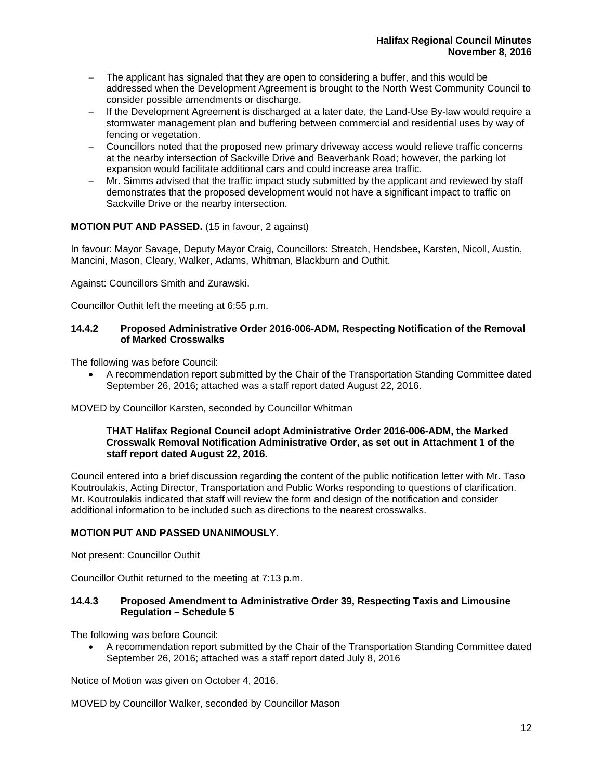- The applicant has signaled that they are open to considering a buffer, and this would be addressed when the Development Agreement is brought to the North West Community Council to consider possible amendments or discharge.
- If the Development Agreement is discharged at a later date, the Land-Use By-law would require a stormwater management plan and buffering between commercial and residential uses by way of fencing or vegetation.
- Councillors noted that the proposed new primary driveway access would relieve traffic concerns at the nearby intersection of Sackville Drive and Beaverbank Road; however, the parking lot expansion would facilitate additional cars and could increase area traffic.
- Mr. Simms advised that the traffic impact study submitted by the applicant and reviewed by staff demonstrates that the proposed development would not have a significant impact to traffic on Sackville Drive or the nearby intersection.

# **MOTION PUT AND PASSED.** (15 in favour, 2 against)

In favour: Mayor Savage, Deputy Mayor Craig, Councillors: Streatch, Hendsbee, Karsten, Nicoll, Austin, Mancini, Mason, Cleary, Walker, Adams, Whitman, Blackburn and Outhit.

Against: Councillors Smith and Zurawski.

Councillor Outhit left the meeting at 6:55 p.m.

## **14.4.2 Proposed Administrative Order 2016-006-ADM, Respecting Notification of the Removal of Marked Crosswalks**

The following was before Council:

 A recommendation report submitted by the Chair of the Transportation Standing Committee dated September 26, 2016; attached was a staff report dated August 22, 2016.

MOVED by Councillor Karsten, seconded by Councillor Whitman

## **THAT Halifax Regional Council adopt Administrative Order 2016-006-ADM, the Marked Crosswalk Removal Notification Administrative Order, as set out in Attachment 1 of the staff report dated August 22, 2016.**

Council entered into a brief discussion regarding the content of the public notification letter with Mr. Taso Koutroulakis, Acting Director, Transportation and Public Works responding to questions of clarification. Mr. Koutroulakis indicated that staff will review the form and design of the notification and consider additional information to be included such as directions to the nearest crosswalks.

## **MOTION PUT AND PASSED UNANIMOUSLY.**

Not present: Councillor Outhit

Councillor Outhit returned to the meeting at 7:13 p.m.

## **14.4.3 Proposed Amendment to Administrative Order 39, Respecting Taxis and Limousine Regulation – Schedule 5**

The following was before Council:

 A recommendation report submitted by the Chair of the Transportation Standing Committee dated September 26, 2016; attached was a staff report dated July 8, 2016

Notice of Motion was given on October 4, 2016.

MOVED by Councillor Walker, seconded by Councillor Mason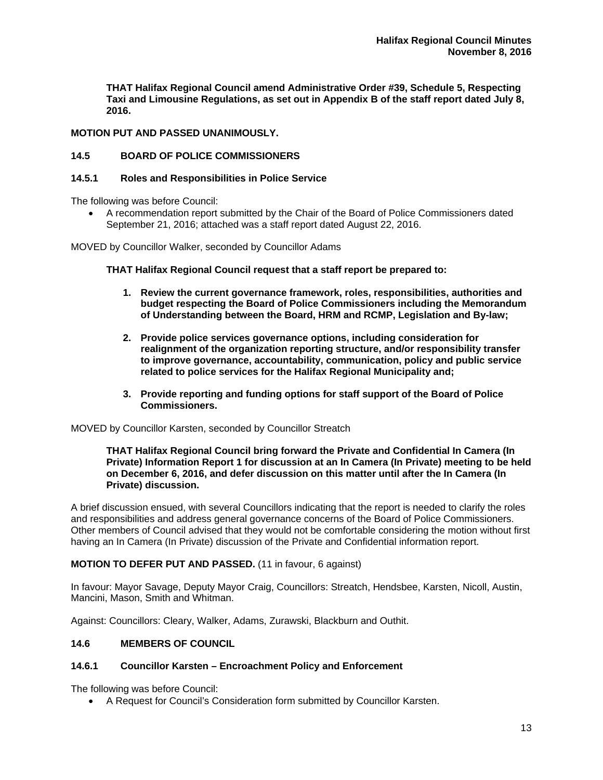**THAT Halifax Regional Council amend Administrative Order #39, Schedule 5, Respecting Taxi and Limousine Regulations, as set out in Appendix B of the staff report dated July 8, 2016.** 

## **MOTION PUT AND PASSED UNANIMOUSLY.**

## **14.5 BOARD OF POLICE COMMISSIONERS**

## **14.5.1 Roles and Responsibilities in Police Service**

The following was before Council:

 A recommendation report submitted by the Chair of the Board of Police Commissioners dated September 21, 2016; attached was a staff report dated August 22, 2016.

MOVED by Councillor Walker, seconded by Councillor Adams

#### **THAT Halifax Regional Council request that a staff report be prepared to:**

- **1. Review the current governance framework, roles, responsibilities, authorities and budget respecting the Board of Police Commissioners including the Memorandum of Understanding between the Board, HRM and RCMP, Legislation and By-law;**
- **2. Provide police services governance options, including consideration for realignment of the organization reporting structure, and/or responsibility transfer to improve governance, accountability, communication, policy and public service related to police services for the Halifax Regional Municipality and;**
- **3. Provide reporting and funding options for staff support of the Board of Police Commissioners.**

MOVED by Councillor Karsten, seconded by Councillor Streatch

#### **THAT Halifax Regional Council bring forward the Private and Confidential In Camera (In Private) Information Report 1 for discussion at an In Camera (In Private) meeting to be held on December 6, 2016, and defer discussion on this matter until after the In Camera (In Private) discussion.**

A brief discussion ensued, with several Councillors indicating that the report is needed to clarify the roles and responsibilities and address general governance concerns of the Board of Police Commissioners. Other members of Council advised that they would not be comfortable considering the motion without first having an In Camera (In Private) discussion of the Private and Confidential information report.

## **MOTION TO DEFER PUT AND PASSED.** (11 in favour, 6 against)

In favour: Mayor Savage, Deputy Mayor Craig, Councillors: Streatch, Hendsbee, Karsten, Nicoll, Austin, Mancini, Mason, Smith and Whitman.

Against: Councillors: Cleary, Walker, Adams, Zurawski, Blackburn and Outhit.

## **14.6 MEMBERS OF COUNCIL**

## **14.6.1 Councillor Karsten – Encroachment Policy and Enforcement**

The following was before Council:

A Request for Council's Consideration form submitted by Councillor Karsten.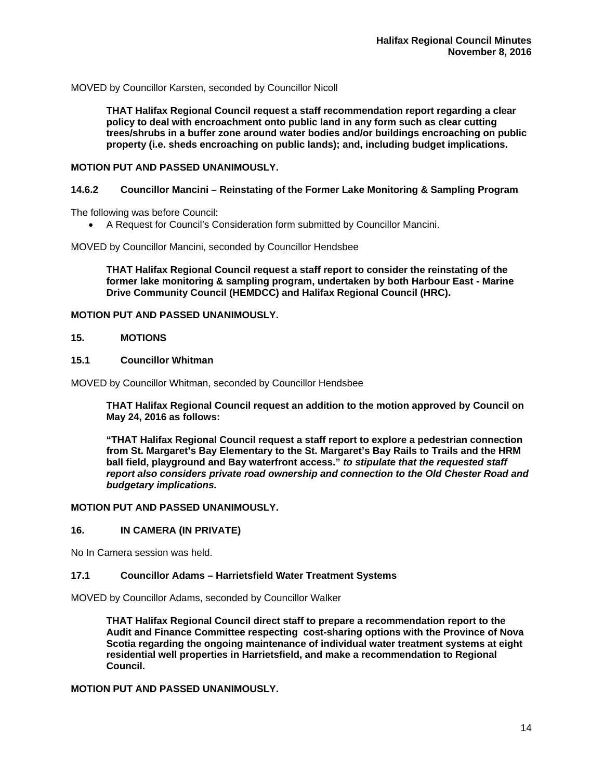MOVED by Councillor Karsten, seconded by Councillor Nicoll

**THAT Halifax Regional Council request a staff recommendation report regarding a clear policy to deal with encroachment onto public land in any form such as clear cutting trees/shrubs in a buffer zone around water bodies and/or buildings encroaching on public property (i.e. sheds encroaching on public lands); and, including budget implications.** 

#### **MOTION PUT AND PASSED UNANIMOUSLY.**

## **14.6.2 Councillor Mancini – Reinstating of the Former Lake Monitoring & Sampling Program**

The following was before Council:

A Request for Council's Consideration form submitted by Councillor Mancini.

MOVED by Councillor Mancini, seconded by Councillor Hendsbee

**THAT Halifax Regional Council request a staff report to consider the reinstating of the former lake monitoring & sampling program, undertaken by both Harbour East - Marine Drive Community Council (HEMDCC) and Halifax Regional Council (HRC).** 

## **MOTION PUT AND PASSED UNANIMOUSLY.**

## **15. MOTIONS**

## **15.1 Councillor Whitman**

MOVED by Councillor Whitman, seconded by Councillor Hendsbee

**THAT Halifax Regional Council request an addition to the motion approved by Council on May 24, 2016 as follows:** 

**"THAT Halifax Regional Council request a staff report to explore a pedestrian connection from St. Margaret's Bay Elementary to the St. Margaret's Bay Rails to Trails and the HRM ball field, playground and Bay waterfront access."** *to stipulate that the requested staff report also considers private road ownership and connection to the Old Chester Road and budgetary implications.* 

#### **MOTION PUT AND PASSED UNANIMOUSLY.**

## **16. IN CAMERA (IN PRIVATE)**

No In Camera session was held.

#### **17.1 Councillor Adams – Harrietsfield Water Treatment Systems**

MOVED by Councillor Adams, seconded by Councillor Walker

**THAT Halifax Regional Council direct staff to prepare a recommendation report to the Audit and Finance Committee respecting cost-sharing options with the Province of Nova Scotia regarding the ongoing maintenance of individual water treatment systems at eight residential well properties in Harrietsfield, and make a recommendation to Regional Council.** 

## **MOTION PUT AND PASSED UNANIMOUSLY.**